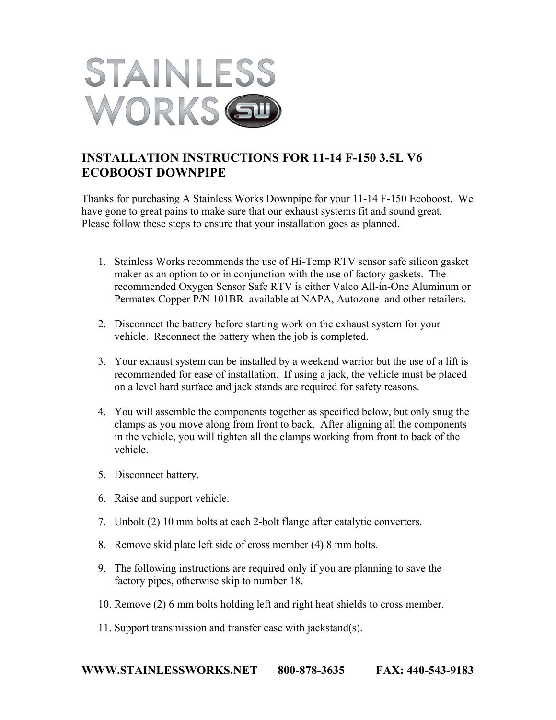

## **INSTALLATION INSTRUCTIONS FOR 11-14 F-150 3.5L V6 ECOBOOST DOWNPIPE**

Thanks for purchasing A Stainless Works Downpipe for your 11-14 F-150 Ecoboost. We have gone to great pains to make sure that our exhaust systems fit and sound great. Please follow these steps to ensure that your installation goes as planned.

- 1. Stainless Works recommends the use of Hi-Temp RTV sensor safe silicon gasket maker as an option to or in conjunction with the use of factory gaskets. The recommended Oxygen Sensor Safe RTV is either Valco All-in-One Aluminum or Permatex Copper P/N 101BR available at NAPA, Autozone and other retailers.
- 2. Disconnect the battery before starting work on the exhaust system for your vehicle. Reconnect the battery when the job is completed.
- 3. Your exhaust system can be installed by a weekend warrior but the use of a lift is recommended for ease of installation. If using a jack, the vehicle must be placed on a level hard surface and jack stands are required for safety reasons.
- 4. You will assemble the components together as specified below, but only snug the clamps as you move along from front to back. After aligning all the components in the vehicle, you will tighten all the clamps working from front to back of the vehicle.
- 5. Disconnect battery.
- 6. Raise and support vehicle.
- 7. Unbolt (2) 10 mm bolts at each 2-bolt flange after catalytic converters.
- 8. Remove skid plate left side of cross member (4) 8 mm bolts.
- 9. The following instructions are required only if you are planning to save the factory pipes, otherwise skip to number 18.
- 10. Remove (2) 6 mm bolts holding left and right heat shields to cross member.
- 11. Support transmission and transfer case with jackstand(s).